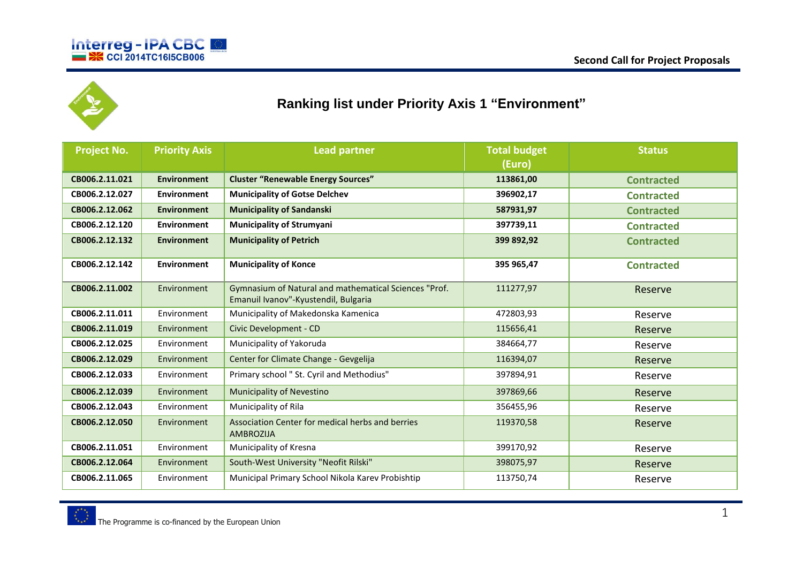



## **Ranking list under Priority Axis 1 "Environment"**

| <b>Project No.</b> | <b>Priority Axis</b> | <b>Lead partner</b>                                                                           | <b>Total budget</b><br>(Euro) | <b>Status</b>     |
|--------------------|----------------------|-----------------------------------------------------------------------------------------------|-------------------------------|-------------------|
| CB006.2.11.021     | <b>Environment</b>   | <b>Cluster "Renewable Energy Sources"</b>                                                     |                               |                   |
|                    |                      |                                                                                               | 113861,00                     | <b>Contracted</b> |
| CB006.2.12.027     | Environment          | <b>Municipality of Gotse Delchev</b>                                                          | 396902,17                     | <b>Contracted</b> |
| CB006.2.12.062     | <b>Environment</b>   | <b>Municipality of Sandanski</b>                                                              | 587931,97                     | <b>Contracted</b> |
| CB006.2.12.120     | <b>Environment</b>   | <b>Municipality of Strumyani</b>                                                              | 397739,11                     | <b>Contracted</b> |
| CB006.2.12.132     | <b>Environment</b>   | <b>Municipality of Petrich</b>                                                                | 399 892,92                    | <b>Contracted</b> |
| CB006.2.12.142     | <b>Environment</b>   | <b>Municipality of Konce</b>                                                                  | 395 965,47                    | <b>Contracted</b> |
| CB006.2.11.002     | Environment          | Gymnasium of Natural and mathematical Sciences "Prof.<br>Emanuil Ivanov"-Kyustendil, Bulgaria | 111277,97                     | Reserve           |
| CB006.2.11.011     | Environment          | Municipality of Makedonska Kamenica                                                           | 472803,93                     | Reserve           |
| CB006.2.11.019     | Environment          | Civic Development - CD                                                                        | 115656,41                     | Reserve           |
| CB006.2.12.025     | Environment          | Municipality of Yakoruda                                                                      | 384664,77                     | Reserve           |
| CB006.2.12.029     | Environment          | Center for Climate Change - Gevgelija                                                         | 116394,07                     | Reserve           |
| CB006.2.12.033     | Environment          | Primary school " St. Cyril and Methodius"                                                     | 397894,91                     | Reserve           |
| CB006.2.12.039     | Environment          | <b>Municipality of Nevestino</b>                                                              | 397869,66                     | Reserve           |
| CB006.2.12.043     | Environment          | Municipality of Rila                                                                          | 356455,96                     | Reserve           |
| CB006.2.12.050     | Environment          | Association Center for medical herbs and berries<br><b>AMBROZIJA</b>                          | 119370,58                     | Reserve           |
| CB006.2.11.051     | Environment          | Municipality of Kresna                                                                        | 399170,92                     | Reserve           |
| CB006.2.12.064     | Environment          | South-West University "Neofit Rilski"                                                         | 398075,97                     | Reserve           |
| CB006.2.11.065     | Environment          | Municipal Primary School Nikola Karev Probishtip                                              | 113750,74                     | Reserve           |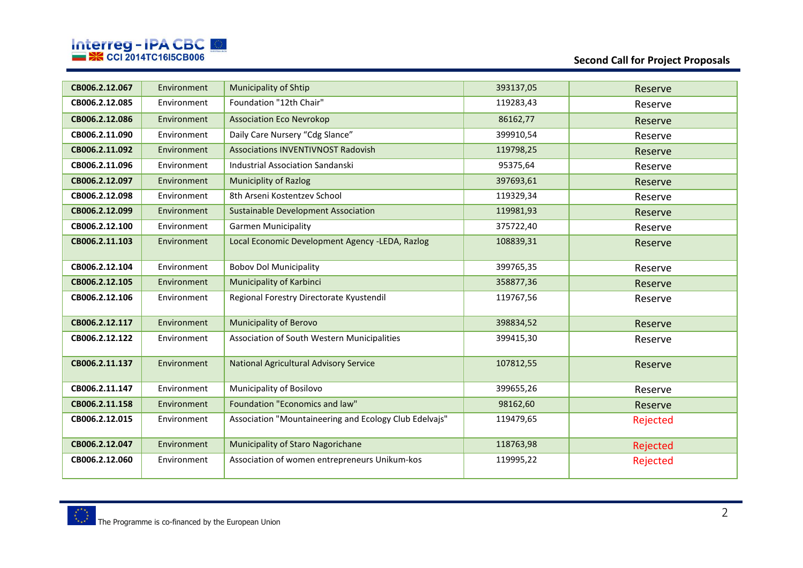

## **Second Call for Project Proposals**

| CB006.2.12.067 | Environment | Municipality of Shtip                                  | 393137,05 | Reserve  |
|----------------|-------------|--------------------------------------------------------|-----------|----------|
| CB006.2.12.085 | Environment | Foundation "12th Chair"                                | 119283,43 | Reserve  |
| CB006.2.12.086 | Environment | <b>Association Eco Nevrokop</b>                        | 86162,77  | Reserve  |
| CB006.2.11.090 | Environment | Daily Care Nursery "Cdg Slance"                        | 399910,54 | Reserve  |
| CB006.2.11.092 | Environment | <b>Associations INVENTIVNOST Radovish</b>              | 119798,25 | Reserve  |
| CB006.2.11.096 | Environment | <b>Industrial Association Sandanski</b>                | 95375,64  | Reserve  |
| CB006.2.12.097 | Environment | <b>Municiplity of Razlog</b>                           | 397693,61 | Reserve  |
| CB006.2.12.098 | Environment | 8th Arseni Kostentzev School                           | 119329,34 | Reserve  |
| CB006.2.12.099 | Environment | <b>Sustainable Development Association</b>             | 119981,93 | Reserve  |
| CB006.2.12.100 | Environment | <b>Garmen Municipality</b>                             | 375722,40 | Reserve  |
| CB006.2.11.103 | Environment | Local Economic Development Agency -LEDA, Razlog        | 108839,31 | Reserve  |
| CB006.2.12.104 | Environment | <b>Bobov Dol Municipality</b>                          | 399765,35 | Reserve  |
| CB006.2.12.105 | Environment | <b>Municipality of Karbinci</b>                        | 358877,36 | Reserve  |
| CB006.2.12.106 | Environment | Regional Forestry Directorate Kyustendil               | 119767,56 | Reserve  |
| CB006.2.12.117 | Environment | <b>Municipality of Berovo</b>                          | 398834,52 | Reserve  |
| CB006.2.12.122 | Environment | Association of South Western Municipalities            | 399415,30 | Reserve  |
| CB006.2.11.137 | Environment | <b>National Agricultural Advisory Service</b>          | 107812,55 | Reserve  |
| CB006.2.11.147 | Environment | Municipality of Bosilovo                               | 399655,26 | Reserve  |
| CB006.2.11.158 | Environment | Foundation "Economics and law"                         | 98162,60  | Reserve  |
| CB006.2.12.015 | Environment | Association "Mountaineering and Ecology Club Edelvajs" | 119479,65 | Rejected |
| CB006.2.12.047 | Environment | Municipality of Staro Nagorichane                      | 118763,98 | Rejected |
| CB006.2.12.060 | Environment | Association of women entrepreneurs Unikum-kos          | 119995,22 | Rejected |